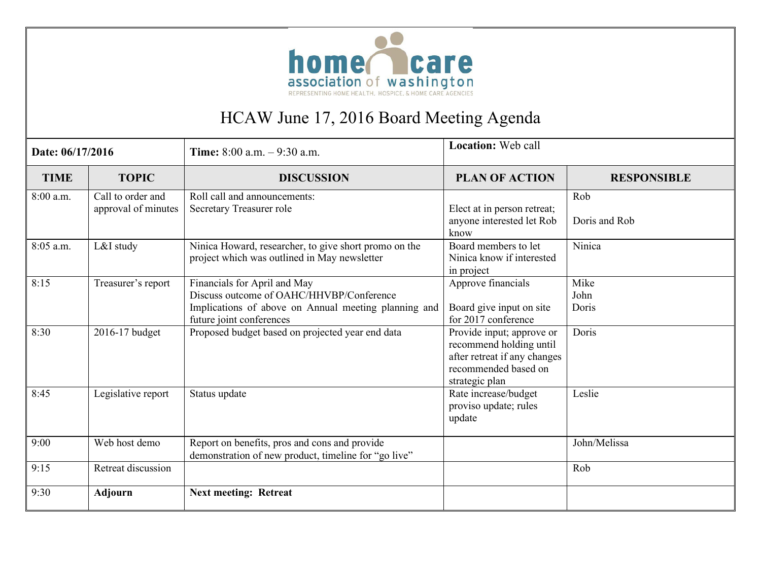

# HCAW June 17, 2016 Board Meeting Agenda

| Date: 06/17/2016 |                                          | Time: $8:00$ a.m. $-9:30$ a.m.                                                                                                                               | <b>Location:</b> Web call                                                                                                      |                       |  |  |
|------------------|------------------------------------------|--------------------------------------------------------------------------------------------------------------------------------------------------------------|--------------------------------------------------------------------------------------------------------------------------------|-----------------------|--|--|
| <b>TIME</b>      | <b>TOPIC</b>                             | <b>DISCUSSION</b>                                                                                                                                            | <b>PLAN OF ACTION</b>                                                                                                          | <b>RESPONSIBLE</b>    |  |  |
| 8:00 a.m.        | Call to order and<br>approval of minutes | Roll call and announcements:<br>Secretary Treasurer role                                                                                                     | Elect at in person retreat;<br>anyone interested let Rob<br>know                                                               | Rob<br>Doris and Rob  |  |  |
| 8:05 a.m.        | L&I study                                | Ninica Howard, researcher, to give short promo on the<br>project which was outlined in May newsletter                                                        | Board members to let<br>Ninica know if interested<br>in project                                                                | Ninica                |  |  |
| 8:15             | Treasurer's report                       | Financials for April and May<br>Discuss outcome of OAHC/HHVBP/Conference<br>Implications of above on Annual meeting planning and<br>future joint conferences | Approve financials<br>Board give input on site<br>for 2017 conference                                                          | Mike<br>John<br>Doris |  |  |
| 8:30             | 2016-17 budget                           | Proposed budget based on projected year end data                                                                                                             | Provide input; approve or<br>recommend holding until<br>after retreat if any changes<br>recommended based on<br>strategic plan | Doris                 |  |  |
| 8:45             | Legislative report                       | Status update                                                                                                                                                | Rate increase/budget<br>proviso update; rules<br>update                                                                        | Leslie                |  |  |
| 9:00             | Web host demo                            | Report on benefits, pros and cons and provide<br>demonstration of new product, timeline for "go live"                                                        |                                                                                                                                | John/Melissa          |  |  |
| 9:15             | Retreat discussion                       |                                                                                                                                                              |                                                                                                                                | Rob                   |  |  |
| 9:30             | <b>Adjourn</b>                           | <b>Next meeting: Retreat</b>                                                                                                                                 |                                                                                                                                |                       |  |  |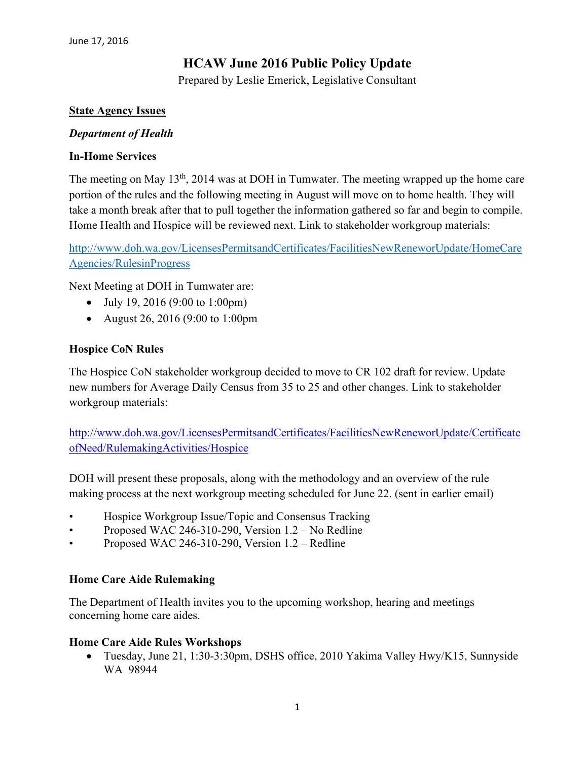## **HCAW June 2016 Public Policy Update**

Prepared by Leslie Emerick, Legislative Consultant

#### **State Agency Issues**

#### *Department of Health*

#### **In-Home Services**

The meeting on May 13<sup>th</sup>, 2014 was at DOH in Tumwater. The meeting wrapped up the home care portion of the rules and the following meeting in August will move on to home health. They will take a month break after that to pull together the information gathered so far and begin to compile. Home Health and Hospice will be reviewed next. Link to stakeholder workgroup materials:

[http://www.doh.wa.gov/LicensesPermitsandCertificates/FacilitiesNewReneworUpdate/HomeCare](http://www.doh.wa.gov/LicensesPermitsandCertificates/FacilitiesNewReneworUpdate/HomeCareAgencies/RulesinProgress) [Agencies/RulesinProgress](http://www.doh.wa.gov/LicensesPermitsandCertificates/FacilitiesNewReneworUpdate/HomeCareAgencies/RulesinProgress)

Next Meeting at DOH in Tumwater are:

- July 19, 2016 (9:00 to 1:00pm)
- August 26, 2016 (9:00 to 1:00pm

#### **Hospice CoN Rules**

The Hospice CoN stakeholder workgroup decided to move to CR 102 draft for review. Update new numbers for Average Daily Census from 35 to 25 and other changes. Link to stakeholder workgroup materials:

[http://www.doh.wa.gov/LicensesPermitsandCertificates/FacilitiesNewReneworUpdate/Certificate](http://www.doh.wa.gov/LicensesPermitsandCertificates/FacilitiesNewReneworUpdate/CertificateofNeed/RulemakingActivities/Hospice) [ofNeed/RulemakingActivities/Hospice](http://www.doh.wa.gov/LicensesPermitsandCertificates/FacilitiesNewReneworUpdate/CertificateofNeed/RulemakingActivities/Hospice)

DOH will present these proposals, along with the methodology and an overview of the rule making process at the next workgroup meeting scheduled for June 22. (sent in earlier email)

- Hospice Workgroup Issue/Topic and Consensus Tracking
- Proposed WAC 246-310-290, Version 1.2 No Redline
- Proposed WAC 246-310-290, Version 1.2 Redline

#### **Home Care Aide Rulemaking**

The Department of Health invites you to the upcoming workshop, hearing and meetings concerning home care aides.

#### **Home Care Aide Rules Workshops**

• Tuesday, June 21, 1:30-3:30pm, DSHS office, 2010 Yakima Valley Hwy/K15, Sunnyside WA 98944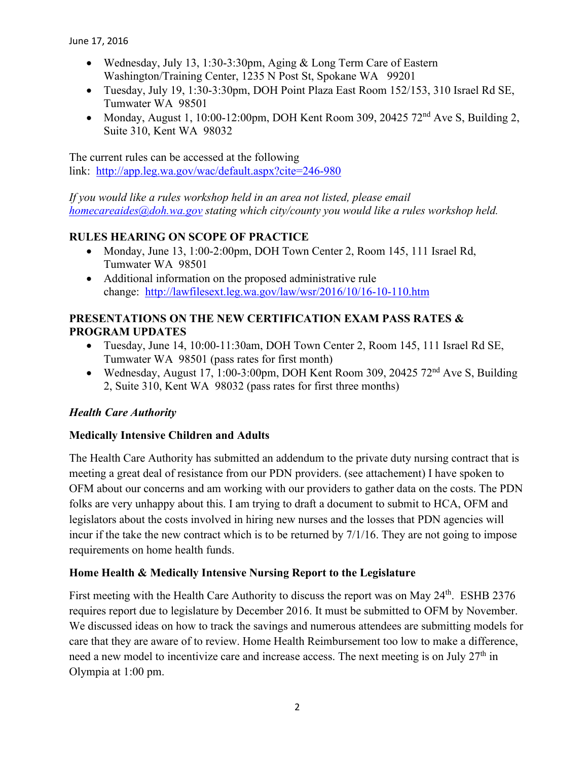- Wednesday, July 13, 1:30-3:30pm, Aging & Long Term Care of Eastern Washington/Training Center, 1235 N Post St, Spokane WA 99201
- Tuesday, July 19, 1:30-3:30pm, DOH Point Plaza East Room 152/153, 310 Israel Rd SE, Tumwater WA 98501
- Monday, August 1, 10:00-12:00pm, DOH Kent Room 309, 20425  $72<sup>nd</sup>$  Ave S, Building 2, Suite 310, Kent WA 98032

The current rules can be accessed at the following link: <http://app.leg.wa.gov/wac/default.aspx?cite=246-980>

*If you would like a rules workshop held in an area not listed, please email [homecareaides@doh.wa.gov](mailto:homecareaides@doh.wa.gov) stating which city/county you would like a rules workshop held.*

## **RULES HEARING ON SCOPE OF PRACTICE**

- Monday, June 13, 1:00-2:00pm, DOH Town Center 2, Room 145, 111 Israel Rd, Tumwater WA 98501
- Additional information on the proposed administrative rule change: <http://lawfilesext.leg.wa.gov/law/wsr/2016/10/16-10-110.htm>

#### **PRESENTATIONS ON THE NEW CERTIFICATION EXAM PASS RATES & PROGRAM UPDATES**

- Tuesday, June 14, 10:00-11:30am, DOH Town Center 2, Room 145, 111 Israel Rd SE, Tumwater WA 98501 (pass rates for first month)
- Wednesday, August 17, 1:00-3:00pm, DOH Kent Room 309, 20425 72<sup>nd</sup> Ave S, Building 2, Suite 310, Kent WA 98032 (pass rates for first three months)

#### *Health Care Authority*

#### **Medically Intensive Children and Adults**

The Health Care Authority has submitted an addendum to the private duty nursing contract that is meeting a great deal of resistance from our PDN providers. (see attachement) I have spoken to OFM about our concerns and am working with our providers to gather data on the costs. The PDN folks are very unhappy about this. I am trying to draft a document to submit to HCA, OFM and legislators about the costs involved in hiring new nurses and the losses that PDN agencies will incur if the take the new contract which is to be returned by  $7/1/16$ . They are not going to impose requirements on home health funds.

#### **Home Health & Medically Intensive Nursing Report to the Legislature**

First meeting with the Health Care Authority to discuss the report was on May 24<sup>th</sup>. ESHB 2376 requires report due to legislature by December 2016. It must be submitted to OFM by November. We discussed ideas on how to track the savings and numerous attendees are submitting models for care that they are aware of to review. Home Health Reimbursement too low to make a difference, need a new model to incentivize care and increase access. The next meeting is on July  $27<sup>th</sup>$  in Olympia at 1:00 pm.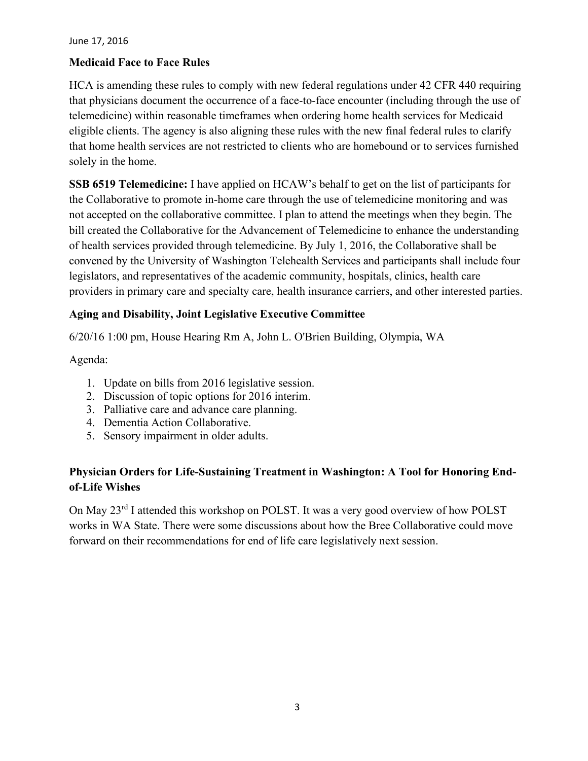June 17, 2016

#### **Medicaid Face to Face Rules**

HCA is amending these rules to comply with new federal regulations under 42 CFR 440 requiring that physicians document the occurrence of a face-to-face encounter (including through the use of telemedicine) within reasonable timeframes when ordering home health services for Medicaid eligible clients. The agency is also aligning these rules with the new final federal rules to clarify that home health services are not restricted to clients who are homebound or to services furnished solely in the home.

**SSB 6519 Telemedicine:** I have applied on HCAW's behalf to get on the list of participants for the Collaborative to promote in-home care through the use of telemedicine monitoring and was not accepted on the collaborative committee. I plan to attend the meetings when they begin. The bill created the Collaborative for the Advancement of Telemedicine to enhance the understanding of health services provided through telemedicine. By July 1, 2016, the Collaborative shall be convened by the University of Washington Telehealth Services and participants shall include four legislators, and representatives of the academic community, hospitals, clinics, health care providers in primary care and specialty care, health insurance carriers, and other interested parties.

## **Aging and Disability, Joint Legislative Executive Committee**

6/20/16 1:00 pm, House Hearing Rm A, John L. O'Brien Building, Olympia, WA

#### Agenda:

- 1. Update on bills from 2016 legislative session.
- 2. Discussion of topic options for 2016 interim.
- 3. Palliative care and advance care planning.
- 4. Dementia Action Collaborative.
- 5. Sensory impairment in older adults.

## **Physician Orders for Life-Sustaining Treatment in Washington: A Tool for Honoring Endof-Life Wishes**

On May 23<sup>rd</sup> I attended this workshop on POLST. It was a very good overview of how POLST works in WA State. There were some discussions about how the Bree Collaborative could move forward on their recommendations for end of life care legislatively next session.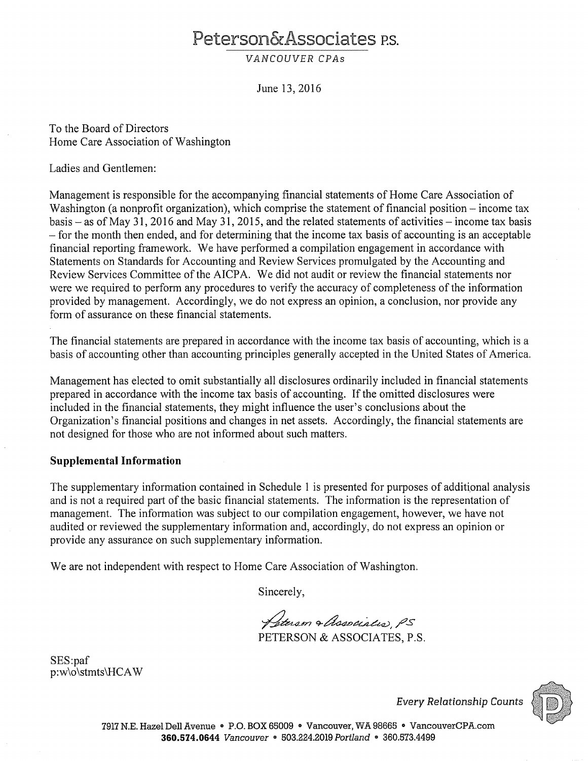## Peterson&Associates P.S.

VANCOUVER CPAs

June 13, 2016

To the Board of Directors Home Care Association of Washington

Ladies and Gentlemen:

Management is responsible for the accompanying financial statements of Home Care Association of Washington (a nonprofit organization), which comprise the statement of financial position – income tax basis – as of May 31, 2016 and May 31, 2015, and the related statements of activities – income tax basis - for the month then ended, and for determining that the income tax basis of accounting is an acceptable financial reporting framework. We have performed a compilation engagement in accordance with Statements on Standards for Accounting and Review Services promulgated by the Accounting and Review Services Committee of the AICPA. We did not audit or review the financial statements nor were we required to perform any procedures to verify the accuracy of completeness of the information provided by management. Accordingly, we do not express an opinion, a conclusion, nor provide any form of assurance on these financial statements.

The financial statements are prepared in accordance with the income tax basis of accounting, which is a basis of accounting other than accounting principles generally accepted in the United States of America.

Management has elected to omit substantially all disclosures ordinarily included in financial statements prepared in accordance with the income tax basis of accounting. If the omitted disclosures were included in the financial statements, they might influence the user's conclusions about the Organization's financial positions and changes in net assets. Accordingly, the financial statements are not designed for those who are not informed about such matters.

#### **Supplemental Information**

The supplementary information contained in Schedule 1 is presented for purposes of additional analysis and is not a required part of the basic financial statements. The information is the representation of management. The information was subject to our compilation engagement, however, we have not audited or reviewed the supplementary information and, accordingly, do not express an opinion or provide any assurance on such supplementary information.

We are not independent with respect to Home Care Association of Washington.

Sincerely,

Peterson & Association PS PETERSON & ASSOCIATES, P.S.

SES:paf p:w\o\stmts\HCAW



**Every Relationship Counts**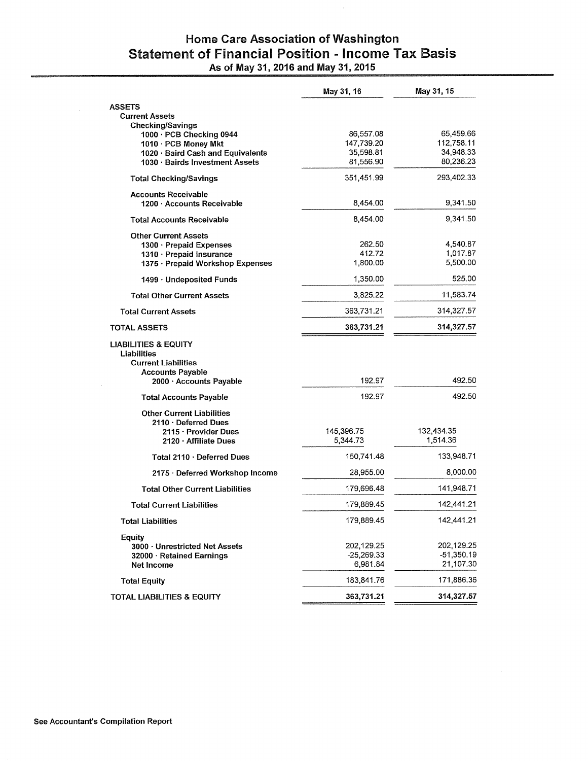## Home Care Association of Washington Statement of Financial Position - Income Tax Basis<br>As of May 31, 2016 and May 31, 2015

 $\bar{\bar{z}}$ 

|                                                                                                         | May 31, 16   | May 31, 15   |
|---------------------------------------------------------------------------------------------------------|--------------|--------------|
| <b>ASSETS</b>                                                                                           |              |              |
| <b>Current Assets</b>                                                                                   |              |              |
| Checking/Savings                                                                                        |              |              |
| 1000 · PCB Checking 0944                                                                                | 86,557.08    | 65,459.66    |
| 1010 · PCB Money Mkt                                                                                    | 147,739.20   | 112,758.11   |
| 1020 · Baird Cash and Equivalents                                                                       | 35,598.81    | 34,948.33    |
| 1030 · Bairds Investment Assets                                                                         | 81,556.90    | 80,236.23    |
| <b>Total Checking/Savings</b>                                                                           | 351,451.99   | 293,402.33   |
| <b>Accounts Receivable</b>                                                                              |              |              |
| 1200 Accounts Receivable                                                                                | 8,454.00     | 9,341.50     |
| <b>Total Accounts Receivable</b>                                                                        | 8,454.00     | 9,341.50     |
| <b>Other Current Assets</b>                                                                             |              |              |
| 1300 · Prepaid Expenses                                                                                 | 262.50       | 4,540.87     |
| 1310 · Prepaid Insurance                                                                                | 412.72       | 1,017.87     |
| 1375 · Prepaid Workshop Expenses                                                                        | 1,800.00     | 5,500.00     |
| 1499 · Undeposited Funds                                                                                | 1,350.00     | 525.00       |
| <b>Total Other Current Assets</b>                                                                       | 3,825.22     | 11,583.74    |
| <b>Total Current Assets</b>                                                                             | 363,731.21   | 314,327.57   |
| <b>TOTAL ASSETS</b>                                                                                     | 363,731.21   | 314,327.57   |
| <b>LIABILITIES &amp; EQUITY</b><br>Liabilities<br><b>Current Liabilities</b><br><b>Accounts Payable</b> |              |              |
| 2000 - Accounts Payable                                                                                 | 192.97       | 492.50       |
| <b>Total Accounts Payable</b>                                                                           | 192.97       | 492.50       |
| <b>Other Current Liabilities</b>                                                                        |              |              |
| $2110 \cdot$ Deferred Dues                                                                              |              |              |
| 2115 · Provider Dues                                                                                    | 145,396.75   | 132,434.35   |
| 2120 · Affiliate Dues                                                                                   | 5,344.73     | 1,514.36     |
| Total 2110 · Deferred Dues                                                                              | 150,741.48   | 133,948.71   |
| 2175 · Deferred Workshop Income                                                                         | 28,955.00    | 8,000.00     |
| <b>Total Other Current Liabilities</b>                                                                  | 179,696.48   | 141,948.71   |
| <b>Total Current Liabilities</b>                                                                        | 179,889.45   | 142,441.21   |
| <b>Total Liabilities</b>                                                                                | 179,889.45   | 142,441.21   |
| Equity                                                                                                  |              |              |
| 3000 Unrestricted Net Assets                                                                            | 202,129.25   | 202,129.25   |
| 32000 · Retained Earnings                                                                               | $-25,269.33$ | $-51,350.19$ |
| Net Income                                                                                              | 6,981.84     | 21,107.30    |
| <b>Total Equity</b>                                                                                     | 183,841.76   | 171,886.36   |
| <b>TOTAL LIABILITIES &amp; EQUITY</b>                                                                   | 363,731.21   | 314,327.57   |
|                                                                                                         |              |              |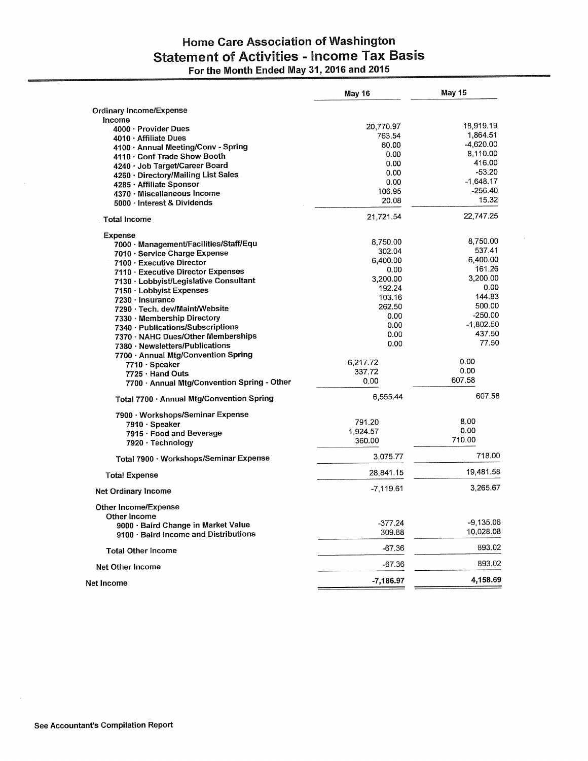## **Home Care Association of Washington Statement of Activities - Income Tax Basis** For the Month Ended May 31, 2016 and 2015

|                                             | May 16           | May 15                  |
|---------------------------------------------|------------------|-------------------------|
| <b>Ordinary Income/Expense</b>              |                  |                         |
| Income                                      |                  |                         |
| 4000 · Provider Dues                        | 20,770.97        | 18,919.19               |
| 4010 · Affiliate Dues                       | 763.54           | 1,864.51                |
| 4100 · Annual Meeting/Conv - Spring         | 60.00            | $-4,620.00$<br>8,110.00 |
| 4110 · Conf Trade Show Booth                | 0.00             |                         |
| 4240 · Job Target/Career Board              | 0.00             | 416.00<br>$-53.20$      |
| 4260 · Directory/Mailing List Sales         | 0.00             | $-1.648.17$             |
| 4285 · Affiliate Sponsor                    | 0.00             | $-256.40$               |
| 4370 · Miscellaneous Income                 | 106.95           | 15.32                   |
| 5000 · Interest & Dividends                 | 20.08            |                         |
| <b>Total Income</b>                         | 21,721.54        | 22,747.25               |
| <b>Expense</b>                              | 8,750.00         | 8,750.00                |
| 7000 · Management/Facilities/Staff/Equ      | 302.04           | 537.41                  |
| 7010 · Service Charge Expense               | 6,400.00         | 6,400.00                |
| 7100 · Executive Director                   | 0.00             | 161.26                  |
| 7110 · Executive Director Expenses          | 3,200.00         | 3,200.00                |
| 7130 · Lobbyist/Legislative Consultant      | 192.24           | 0.00                    |
| 7150 · Lobbyist Expenses                    |                  | 144.83                  |
| $7230 \cdot$ Insurance                      | 103.16<br>262.50 | 500.00                  |
| 7290 · Tech. dev/Maint/Website              |                  | $-250.00$               |
| 7330 · Membership Directory                 | 0.00<br>0.00     | $-1,802.50$             |
| 7340 · Publications/Subscriptions           |                  | 437.50                  |
| 7370 · NAHC Dues/Other Memberships          | 0.00             | 77.50                   |
| 7380 · Newsletters/Publications             | 0.00             |                         |
| 7700 · Annual Mtg/Convention Spring         |                  |                         |
| 7710 · Speaker                              | 6,217.72         | 0.00<br>0.00            |
| 7725 · Hand Outs                            | 337.72           |                         |
| 7700 · Annual Mtg/Convention Spring - Other | 0.00             | 607.58                  |
| Total 7700 · Annual Mtg/Convention Spring   | 6,555.44         | 607.58                  |
| 7900 · Workshops/Seminar Expense            |                  | 8.00                    |
| 7910 · Speaker                              | 791.20           | 0.00                    |
| 7915 Food and Beverage                      | 1,924.57         | 710.00                  |
| 7920 · Technology                           | 360.00           |                         |
| Total 7900 · Workshops/Seminar Expense      | 3,075.77         | 718.00                  |
| <b>Total Expense</b>                        | 28,841.15        | 19,481.58               |
| Net Ordinary Income                         | $-7,119.61$      | 3,265.67                |
| Other Income/Expense                        |                  |                         |
| Other Income                                | $-377.24$        | $-9,135.06$             |
| 9000 · Baird Change in Market Value         | 309.88           | 10,028.08               |
| 9100 · Baird Income and Distributions       |                  |                         |
| <b>Total Other Income</b>                   | $-67.36$         | 893.02                  |
| Net Other Income                            | $-67.36$         | 893.02                  |
| Net Income                                  | $-7,186.97$      | 4,158.69                |

 $\ddot{\phantom{a}}$